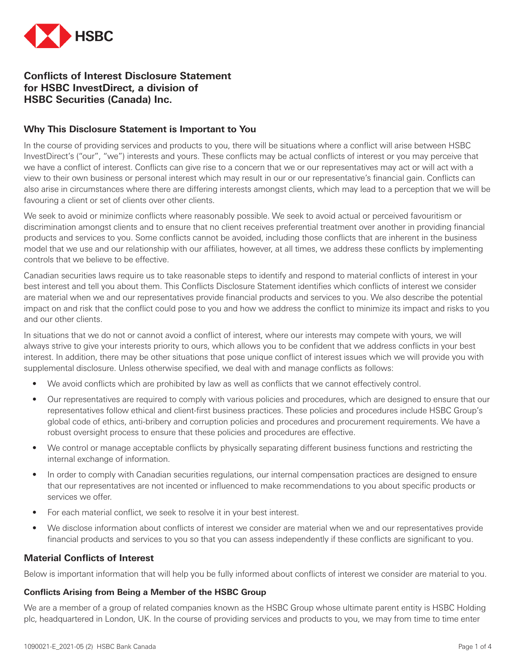

# **Conflicts of Interest Disclosure Statement for HSBC InvestDirect, a division of HSBC Securities (Canada) Inc.**

## **Why This Disclosure Statement is Important to You**

In the course of providing services and products to you, there will be situations where a conflict will arise between HSBC InvestDirect's ("our", "we") interests and yours. These conflicts may be actual conflicts of interest or you may perceive that we have a conflict of interest. Conflicts can give rise to a concern that we or our representatives may act or will act with a view to their own business or personal interest which may result in our or our representative's financial gain. Conflicts can also arise in circumstances where there are differing interests amongst clients, which may lead to a perception that we will be favouring a client or set of clients over other clients.

We seek to avoid or minimize conflicts where reasonably possible. We seek to avoid actual or perceived favouritism or discrimination amongst clients and to ensure that no client receives preferential treatment over another in providing financial products and services to you. Some conflicts cannot be avoided, including those conflicts that are inherent in the business model that we use and our relationship with our affiliates, however, at all times, we address these conflicts by implementing controls that we believe to be effective.

Canadian securities laws require us to take reasonable steps to identify and respond to material conflicts of interest in your best interest and tell you about them. This Conflicts Disclosure Statement identifies which conflicts of interest we consider are material when we and our representatives provide financial products and services to you. We also describe the potential impact on and risk that the conflict could pose to you and how we address the conflict to minimize its impact and risks to you and our other clients.

In situations that we do not or cannot avoid a conflict of interest, where our interests may compete with yours, we will always strive to give your interests priority to ours, which allows you to be confident that we address conflicts in your best interest. In addition, there may be other situations that pose unique conflict of interest issues which we will provide you with supplemental disclosure. Unless otherwise specified, we deal with and manage conflicts as follows:

- We avoid conflicts which are prohibited by law as well as conflicts that we cannot effectively control.
- Our representatives are required to comply with various policies and procedures, which are designed to ensure that our representatives follow ethical and client-first business practices. These policies and procedures include HSBC Group's global code of ethics, anti-bribery and corruption policies and procedures and procurement requirements. We have a robust oversight process to ensure that these policies and procedures are effective.
- We control or manage acceptable conflicts by physically separating different business functions and restricting the internal exchange of information.
- In order to comply with Canadian securities regulations, our internal compensation practices are designed to ensure that our representatives are not incented or influenced to make recommendations to you about specific products or services we offer.
- For each material conflict, we seek to resolve it in your best interest.
- We disclose information about conflicts of interest we consider are material when we and our representatives provide financial products and services to you so that you can assess independently if these conflicts are significant to you.

## **Material Conflicts of Interest**

Below is important information that will help you be fully informed about conflicts of interest we consider are material to you.

#### **Conflicts Arising from Being a Member of the HSBC Group**

We are a member of a group of related companies known as the HSBC Group whose ultimate parent entity is HSBC Holding plc, headquartered in London, UK. In the course of providing services and products to you, we may from time to time enter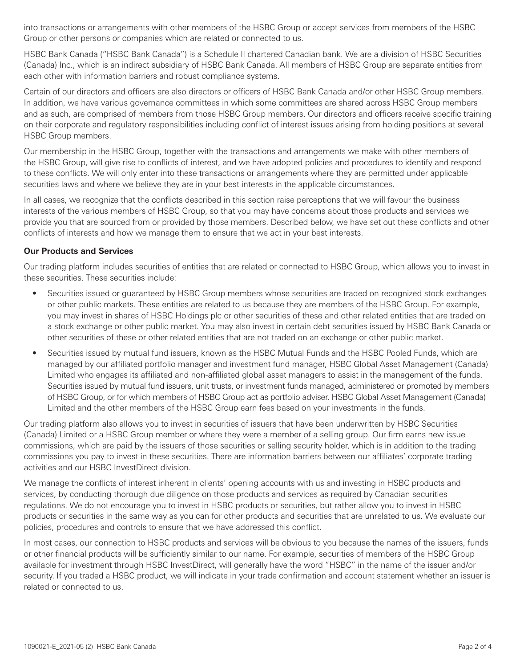into transactions or arrangements with other members of the HSBC Group or accept services from members of the HSBC Group or other persons or companies which are related or connected to us.

HSBC Bank Canada ("HSBC Bank Canada") is a Schedule II chartered Canadian bank. We are a division of HSBC Securities (Canada) Inc., which is an indirect subsidiary of HSBC Bank Canada. All members of HSBC Group are separate entities from each other with information barriers and robust compliance systems.

Certain of our directors and officers are also directors or officers of HSBC Bank Canada and/or other HSBC Group members. In addition, we have various governance committees in which some committees are shared across HSBC Group members and as such, are comprised of members from those HSBC Group members. Our directors and officers receive specific training on their corporate and regulatory responsibilities including conflict of interest issues arising from holding positions at several HSBC Group members.

Our membership in the HSBC Group, together with the transactions and arrangements we make with other members of the HSBC Group, will give rise to conflicts of interest, and we have adopted policies and procedures to identify and respond to these conflicts. We will only enter into these transactions or arrangements where they are permitted under applicable securities laws and where we believe they are in your best interests in the applicable circumstances.

In all cases, we recognize that the conflicts described in this section raise perceptions that we will favour the business interests of the various members of HSBC Group, so that you may have concerns about those products and services we provide you that are sourced from or provided by those members. Described below, we have set out these conflicts and other conflicts of interests and how we manage them to ensure that we act in your best interests.

### **Our Products and Services**

Our trading platform includes securities of entities that are related or connected to HSBC Group, which allows you to invest in these securities. These securities include:

- Securities issued or guaranteed by HSBC Group members whose securities are traded on recognized stock exchanges or other public markets. These entities are related to us because they are members of the HSBC Group. For example, you may invest in shares of HSBC Holdings plc or other securities of these and other related entities that are traded on a stock exchange or other public market. You may also invest in certain debt securities issued by HSBC Bank Canada or other securities of these or other related entities that are not traded on an exchange or other public market.
- Securities issued by mutual fund issuers, known as the HSBC Mutual Funds and the HSBC Pooled Funds, which are managed by our affiliated portfolio manager and investment fund manager, HSBC Global Asset Management (Canada) Limited who engages its affiliated and non-affiliated global asset managers to assist in the management of the funds. Securities issued by mutual fund issuers, unit trusts, or investment funds managed, administered or promoted by members of HSBC Group, or for which members of HSBC Group act as portfolio adviser. HSBC Global Asset Management (Canada) Limited and the other members of the HSBC Group earn fees based on your investments in the funds.

Our trading platform also allows you to invest in securities of issuers that have been underwritten by HSBC Securities (Canada) Limited or a HSBC Group member or where they were a member of a selling group. Our firm earns new issue commissions, which are paid by the issuers of those securities or selling security holder, which is in addition to the trading commissions you pay to invest in these securities. There are information barriers between our affiliates' corporate trading activities and our HSBC InvestDirect division.

We manage the conflicts of interest inherent in clients' opening accounts with us and investing in HSBC products and services, by conducting thorough due diligence on those products and services as required by Canadian securities regulations. We do not encourage you to invest in HSBC products or securities, but rather allow you to invest in HSBC products or securities in the same way as you can for other products and securities that are unrelated to us. We evaluate our policies, procedures and controls to ensure that we have addressed this conflict.

In most cases, our connection to HSBC products and services will be obvious to you because the names of the issuers, funds or other financial products will be sufficiently similar to our name. For example, securities of members of the HSBC Group available for investment through HSBC InvestDirect, will generally have the word "HSBC" in the name of the issuer and/or security. If you traded a HSBC product, we will indicate in your trade confirmation and account statement whether an issuer is related or connected to us.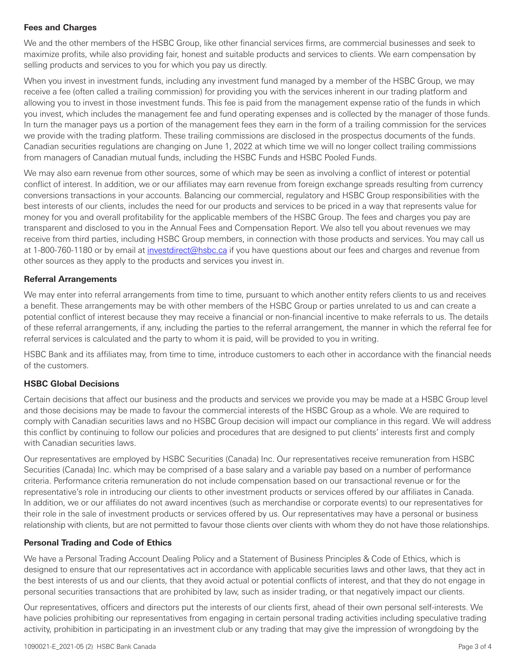## **Fees and Charges**

We and the other members of the HSBC Group, like other financial services firms, are commercial businesses and seek to maximize profits, while also providing fair, honest and suitable products and services to clients. We earn compensation by selling products and services to you for which you pay us directly.

When you invest in investment funds, including any investment fund managed by a member of the HSBC Group, we may receive a fee (often called a trailing commission) for providing you with the services inherent in our trading platform and allowing you to invest in those investment funds. This fee is paid from the management expense ratio of the funds in which you invest, which includes the management fee and fund operating expenses and is collected by the manager of those funds. In turn the manager pays us a portion of the management fees they earn in the form of a trailing commission for the services we provide with the trading platform. These trailing commissions are disclosed in the prospectus documents of the funds. Canadian securities regulations are changing on June 1, 2022 at which time we will no longer collect trailing commissions from managers of Canadian mutual funds, including the HSBC Funds and HSBC Pooled Funds.

We may also earn revenue from other sources, some of which may be seen as involving a conflict of interest or potential conflict of interest. In addition, we or our affiliates may earn revenue from foreign exchange spreads resulting from currency conversions transactions in your accounts. Balancing our commercial, regulatory and HSBC Group responsibilities with the best interests of our clients, includes the need for our products and services to be priced in a way that represents value for money for you and overall profitability for the applicable members of the HSBC Group. The fees and charges you pay are transparent and disclosed to you in the Annual Fees and Compensation Report. We also tell you about revenues we may receive from third parties, including HSBC Group members, in connection with those products and services. You may call us at 1-800-760-1180 or by email at *investdirect@hsbc.ca* if you have questions about our fees and charges and revenue from other sources as they apply to the products and services you invest in.

### **Referral Arrangements**

We may enter into referral arrangements from time to time, pursuant to which another entity refers clients to us and receives a benefit. These arrangements may be with other members of the HSBC Group or parties unrelated to us and can create a potential conflict of interest because they may receive a financial or non-financial incentive to make referrals to us. The details of these referral arrangements, if any, including the parties to the referral arrangement, the manner in which the referral fee for referral services is calculated and the party to whom it is paid, will be provided to you in writing.

HSBC Bank and its affiliates may, from time to time, introduce customers to each other in accordance with the financial needs of the customers.

## **HSBC Global Decisions**

Certain decisions that affect our business and the products and services we provide you may be made at a HSBC Group level and those decisions may be made to favour the commercial interests of the HSBC Group as a whole. We are required to comply with Canadian securities laws and no HSBC Group decision will impact our compliance in this regard. We will address this conflict by continuing to follow our policies and procedures that are designed to put clients' interests first and comply with Canadian securities laws.

Our representatives are employed by HSBC Securities (Canada) Inc. Our representatives receive remuneration from HSBC Securities (Canada) Inc. which may be comprised of a base salary and a variable pay based on a number of performance criteria. Performance criteria remuneration do not include compensation based on our transactional revenue or for the representative's role in introducing our clients to other investment products or services offered by our affiliates in Canada. In addition, we or our affiliates do not award incentives (such as merchandise or corporate events) to our representatives for their role in the sale of investment products or services offered by us. Our representatives may have a personal or business relationship with clients, but are not permitted to favour those clients over clients with whom they do not have those relationships.

## **Personal Trading and Code of Ethics**

We have a Personal Trading Account Dealing Policy and a Statement of Business Principles & Code of Ethics, which is designed to ensure that our representatives act in accordance with applicable securities laws and other laws, that they act in the best interests of us and our clients, that they avoid actual or potential conflicts of interest, and that they do not engage in personal securities transactions that are prohibited by law, such as insider trading, or that negatively impact our clients.

Our representatives, officers and directors put the interests of our clients first, ahead of their own personal self-interests. We have policies prohibiting our representatives from engaging in certain personal trading activities including speculative trading activity, prohibition in participating in an investment club or any trading that may give the impression of wrongdoing by the